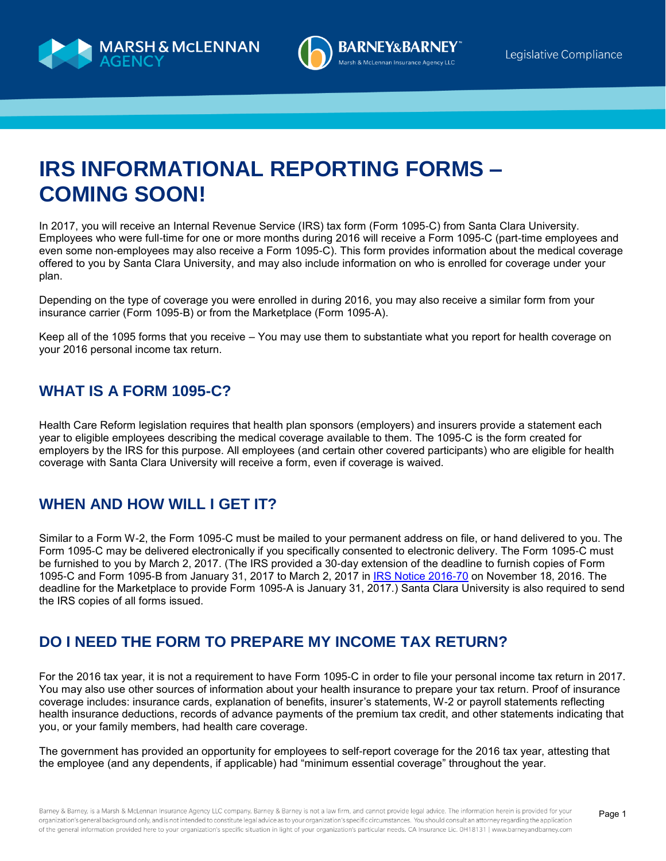



# **IRS INFORMATIONAL REPORTING FORMS – COMING SOON!**

In 2017, you will receive an Internal Revenue Service (IRS) tax form (Form 1095-C) from Santa Clara University. Employees who were full-time for one or more months during 2016 will receive a Form 1095-C (part-time employees and even some non-employees may also receive a Form 1095-C). This form provides information about the medical coverage offered to you by Santa Clara University, and may also include information on who is enrolled for coverage under your plan.

Depending on the type of coverage you were enrolled in during 2016, you may also receive a similar form from your insurance carrier (Form 1095-B) or from the Marketplace (Form 1095-A).

Keep all of the 1095 forms that you receive – You may use them to substantiate what you report for health coverage on your 2016 personal income tax return.

## **WHAT IS A FORM 1095-C?**

Health Care Reform legislation requires that health plan sponsors (employers) and insurers provide a statement each year to eligible employees describing the medical coverage available to them. The 1095-C is the form created for employers by the IRS for this purpose. All employees (and certain other covered participants) who are eligible for health coverage with Santa Clara University will receive a form, even if coverage is waived.

## **WHEN AND HOW WILL I GET IT?**

Similar to a Form W-2, the Form 1095-C must be mailed to your permanent address on file, or hand delivered to you. The Form 1095-C may be delivered electronically if you specifically consented to electronic delivery. The Form 1095-C must be furnished to you by March 2, 2017. (The IRS provided a 30-day extension of the deadline to furnish copies of Form 1095-C and Form 1095-B from January 31, 2017 to March 2, 2017 in [IRS Notice 2016-70](https://www.irs.gov/pub/irs-drop/n-16-70.pdf) on November 18, 2016. The deadline for the Marketplace to provide Form 1095-A is January 31, 2017.) Santa Clara University is also required to send the IRS copies of all forms issued.

## **DO I NEED THE FORM TO PREPARE MY INCOME TAX RETURN?**

For the 2016 tax year, it is not a requirement to have Form 1095-C in order to file your personal income tax return in 2017. You may also use other sources of information about your health insurance to prepare your tax return. Proof of insurance coverage includes: insurance cards, explanation of benefits, insurer's statements, W-2 or payroll statements reflecting health insurance deductions, records of advance payments of the premium tax credit, and other statements indicating that you, or your family members, had health care coverage.

The government has provided an opportunity for employees to self-report coverage for the 2016 tax year, attesting that the employee (and any dependents, if applicable) had "minimum essential coverage" throughout the year.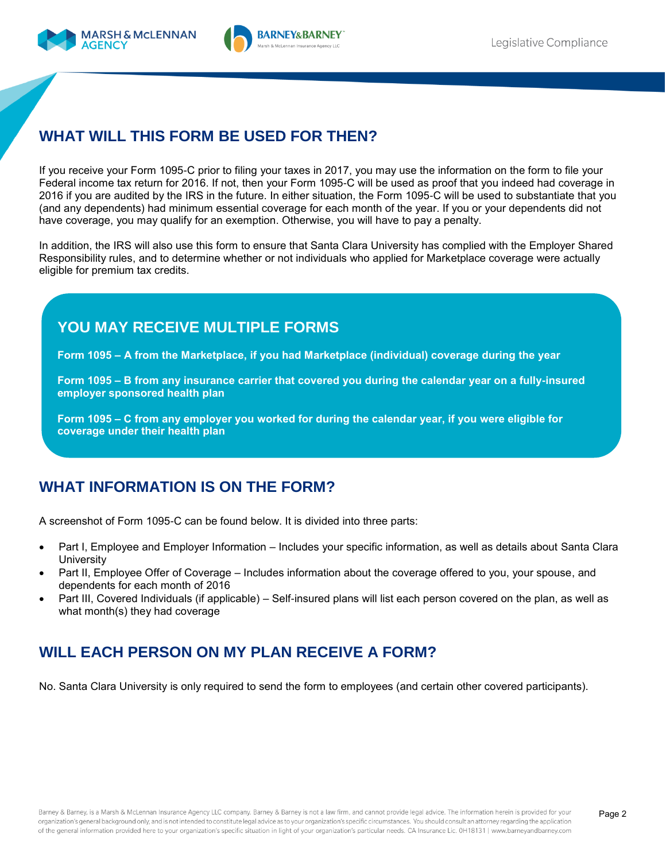

# **WHAT WILL THIS FORM BE USED FOR THEN?**

If you receive your Form 1095-C prior to filing your taxes in 2017, you may use the information on the form to file your Federal income tax return for 2016. If not, then your Form 1095-C will be used as proof that you indeed had coverage in 2016 if you are audited by the IRS in the future. In either situation, the Form 1095-C will be used to substantiate that you (and any dependents) had minimum essential coverage for each month of the year. If you or your dependents did not have coverage, you may qualify for an exemption. Otherwise, you will have to pay a penalty.

In addition, the IRS will also use this form to ensure that Santa Clara University has complied with the Employer Shared Responsibility rules, and to determine whether or not individuals who applied for Marketplace coverage were actually eligible for premium tax credits.

# **YOU MAY RECEIVE MULTIPLE FORMS**

**Form 1095 – A from the Marketplace, if you had Marketplace (individual) coverage during the year**

**Form 1095 – B from any insurance carrier that covered you during the calendar year on a fully-insured employer sponsored health plan**

**Form 1095 – C from any employer you worked for during the calendar year, if you were eligible for coverage under their health plan**

## **WHAT INFORMATION IS ON THE FORM?**

A screenshot of Form 1095-C can be found below. It is divided into three parts:

- Part I, Employee and Employer Information Includes your specific information, as well as details about Santa Clara **University**
- Part II, Employee Offer of Coverage Includes information about the coverage offered to you, your spouse, and dependents for each month of 2016
- Part III, Covered Individuals (if applicable) Self-insured plans will list each person covered on the plan, as well as what month(s) they had coverage

# **WILL EACH PERSON ON MY PLAN RECEIVE A FORM?**

No. Santa Clara University is only required to send the form to employees (and certain other covered participants).